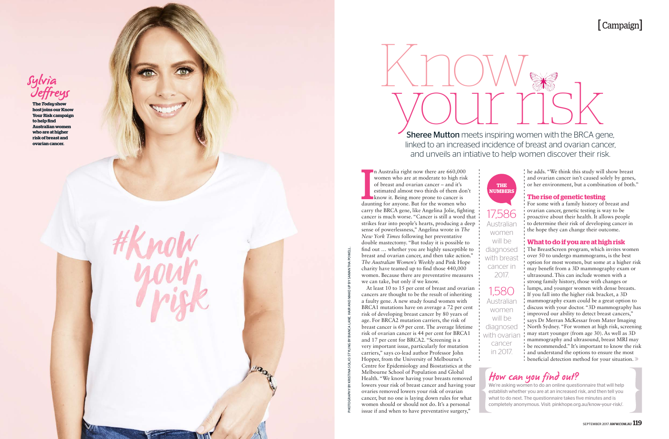## [ Campaign ]

PHOTOGRAPHY BY KRISTINA SOLJO. STYLING BY BIANCA LANE. HAIR AND MAKE-UP BY SAMANTHA POWELL.

## How can you find out?

We're asking women to do an online questionnaire that will help establish whether you are at an increased risk, and then tell you what to do next. The questionnaire takes five minutes and is completely anonymous. Visit: pinkhope.org.au/know-your-risk/.

17,586 Australian women will be diagnosed with breast cancer in 2017.

The BreastScreen program, which invites women over 50 to undergo mammograms, is the best option for most women, but some at a higher risk may benefit from a 3D mammography exam or ultrasound. This can include women with a strong family history, those with changes or lumps, and younger women with dense breasts. If you fall into the higher risk bracket, a 3D mammography exam could be a great option to discuss with your doctor. "3D mammography has improved our ability to detect breast cancers," says Dr Merran McKessar from Mater Imaging North Sydney. "For women at high risk, screening may start younger (from age 30). As well as 3D mammography and ultrasound, breast MRI may be recommended." It's important to know the risk and understand the options to ensure the most beneficial detection method for your situation. »

1,580 Australian women will be diagnosed with ovariar cancer in 2017.

#### he adds. "We think this study will show breast and ovarian cancer isn't caused solely by genes, or her environment, but a combination of both."

### **The rise of genetic testing**

For some with a family history of breast and ovarian cancer, genetic testing is way to be proactive about their health. It allows people to determine their risk of developing cancer in the hope they can change their outcome.

n Australia right now there are 660,000 women who are at moderate to high risk of breast and ovarian cancer – and it's estimated almost two thirds of them don't know it. Being more prone to cancer is

### **What to do if you are at high risk**

**Sheree Mutton** meets inspiring women with the BRCA gene, linked to an increased incidence of breast and ovarian cancer, and unveils an intiative to help women discover their risk.



carry the BRCA gene, like Angelina Jolie, fighting cancer is much worse. "Cancer is still a word that strikes fear into people's hearts, producing a deep sense of powerlessness," Angelina wrote in *The New York Times* following her preventative double mastectomy. "But today it is possible to find out … whether you are highly susceptible to breast and ovarian cancer, and then take action." *The Australian Women's Weekly* and Pink Hope charity have teamed up to find those 440,000 women. Because there are preventative measures

we can take, but only if we know.

At least 10 to 15 per cent of breast and ovarian cancers are thought to be the result of inheriting a faulty gene. A new study found women with BRCA1 mutations have on average a 72 per cent risk of developing breast cancer by 80 years of age. For BRCA2 mutation carriers, the risk of breast cancer is 69 per cent. The average lifetime risk of ovarian cancer is 44 per cent for BRCA1 and 17 per cent for BRCA2. "Screening is a very important issue, particularly for mutation carriers," says co-lead author Professor John Hopper, from the University of Melbourne's Centre for Epidemiology and Biostatistics at the Melbourne School of Population and Global

ovaries removed lowers your risk of ovarian



**The** *Today* **show host joins our Know Your Risk campaign to help find Australian women who are at higher risk of breast and ovarian cancer.** 





**THE NUMBERS**

In Australia right now there are 660,000<br>women who are at moderate to high risk<br>of breast and ovarian cancer – and it's<br>estimated almost two thirds of them don<br>know it. Being more prone to cancer is<br>daunting for anyone. Bu